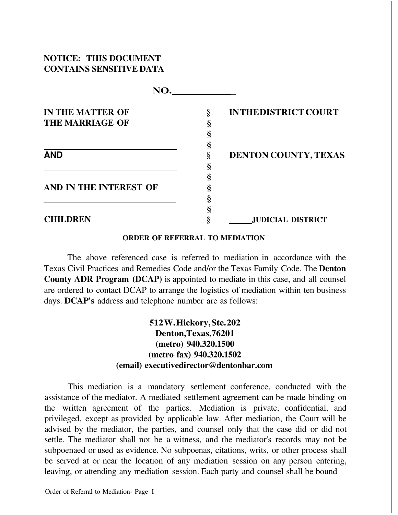# **NOTICE: THIS DOCUMENT CONTAINS SENSITIVE DATA**

| <b>IN THE MATTER OF</b> | § | <b>INTHEDISTRICT COURT</b> |
|-------------------------|---|----------------------------|
| <b>THE MARRIAGE OF</b>  | § |                            |
|                         |   |                            |
|                         |   |                            |
| <b>AND</b>              |   | DENTON COUNTY, TEXAS       |
|                         |   |                            |
|                         |   |                            |
| AND IN THE INTEREST OF  |   |                            |
|                         |   |                            |
|                         |   |                            |
| <b>CHILDREN</b>         |   | <b>JUDICIAL DISTRICT</b>   |

#### **ORDER OF REFERRAL TO MEDIATION**

The above referenced case is referred to mediation in accordance with the Texas Civil Practices and Remedies Code and/or the Texas Family Code. The **Denton County ADR Program (DCAP)** is appointed to mediate in this case, and all counsel are ordered to contact DCAP to arrange the logistics of mediation within ten business days. **DCAP's** address and telephone number are as follows:

# **512W. Hickory, Ste. 202 Denton,Texas,76201 (metro) 940.320.1500 (metro fax) 940.320.1502 (email) [executivedirector@dentonbar.com](mailto:executivedirector@dentonbar.com)**

This mediation is a mandatory settlement conference, conducted with the assistance of the mediator. A mediated settlement agreement can be made binding on the written agreement of the parties. Mediation is private, confidential, and privileged, except as provided by applicable law. After mediation, the Court will be advised by the mediator, the parties, and counsel only that the case did or did not settle. The mediator shall not be a witness, and the mediator's records may not be subpoenaed or used as evidence. No subpoenas, citations, writs, or other process shall be served at or near the location of any mediation session on any person entering, leaving, or attending any mediation session. Each party and counsel shall be bound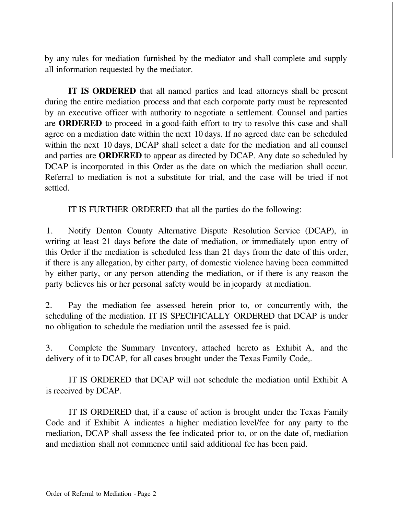by any rules for mediation furnished by the mediator and shall complete and supply all information requested by the mediator.

**IT IS ORDERED** that all named parties and lead attorneys shall be present during the entire mediation process and that each corporate party must be represented by an executive officer with authority to negotiate a settlement. Counsel and parties are **ORDERED** to proceed in a good-faith effort to try to resolve this case and shall agree on a mediation date within the next 10 days. If no agreed date can be scheduled within the next 10 days, DCAP shall select a date for the mediation and all counsel and parties are **ORDERED** to appear as directed by DCAP. Any date so scheduled by DCAP is incorporated in this Order as the date on which the mediation shall occur. Referral to mediation is not a substitute for trial, and the case will be tried if not settled.

IT IS FURTHER ORDERED that all the parties do the following:

1. Notify Denton County Alternative Dispute Resolution Service (DCAP), in writing at least 21 days before the date of mediation, or immediately upon entry of this Order if the mediation is scheduled less than 21 days from the date of this order, if there is any allegation, by either party, of domestic violence having been committed by either party, or any person attending the mediation, or if there is any reason the party believes his or her personal safety would be in jeopardy at mediation.

2. Pay the mediation fee assessed herein prior to, or concurrently with, the scheduling of the mediation. IT IS SPECIFICALLY ORDERED that DCAP is under no obligation to schedule the mediation until the assessed fee is paid.

3. Complete the Summary Inventory, attached hereto as Exhibit A, and the delivery of it to DCAP, for all cases brought under the Texas Family Code,.

IT IS ORDERED that DCAP will not schedule the mediation until Exhibit A is received by DCAP.

IT IS ORDERED that, if a cause of action is brought under the Texas Family Code and if Exhibit A indicates a higher mediation level/fee for any party to the mediation, DCAP shall assess the fee indicated prior to, or on the date of, mediation and mediation shall not commence until said additional fee has been paid.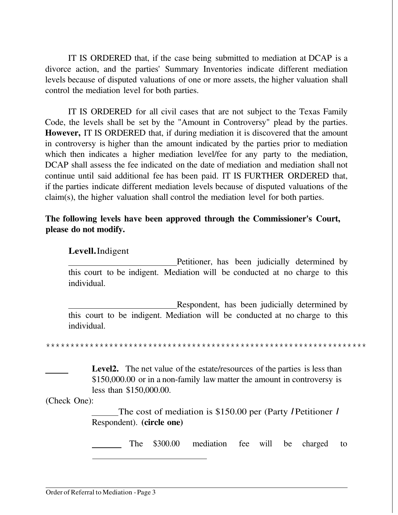IT IS ORDERED that, if the case being submitted to mediation at DCAP is a divorce action, and the parties' Summary Inventories indicate different mediation levels because of disputed valuations of one or more assets, the higher valuation shall control the mediation level for both parties.

IT IS ORDERED for all civil cases that are not subject to the Texas Family Code, the levels shall be set by the "Amount in Controversy" plead by the parties. **However,** IT IS ORDERED that, if during mediation it is discovered that the amount in controversy is higher than the amount indicated by the parties prior to mediation which then indicates a higher mediation level/fee for any party to the mediation, DCAP shall assess the fee indicated on the date of mediation and mediation shall not continue until said additional fee has been paid. IT IS FURTHER ORDERED that, if the parties indicate different mediation levels because of disputed valuations of the claim(s), the higher valuation shall control the mediation level for both parties.

### **The following levels have been approved through the Commissioner's Court, please do not modify.**

### **Levell.** Indigent

 Petitioner, has been judicially determined by this court to be indigent. Mediation will be conducted at no charge to this individual.

 Respondent, has been judicially determined by this court to be indigent. Mediation will be conducted at no charge to this individual.

\*\*\*\*\*\*\*\*\*\*\*\*\*\*\*\*\*\*\*\*\*\*\*\*\*\*\*\*\*\*\*\*\*\*\*\*\*\*\*\*\*\*\*\*\*\*\*\*\*\*\*\*\*\*\*\*\*\*\*\*\*\*\*\*\*\*

Level<sub>2</sub>. The net value of the estate/resources of the parties is less than \$150,000.00 or in a non-family law matter the amount in controversy is less than \$150,000.00.

(Check One):

The cost of mediation is \$150.00 per (Party I Petitioner I Respondent). **(circle one)**

The \$300.00 mediation fee will be charged to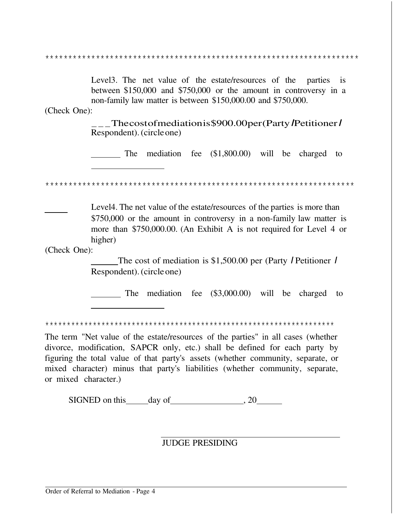\*\*\*\*\*\*\*\*\*\*\*\*\*\*\*\*\*\*\*\*\*\*\*\*\*\*\*\*\*\*\*\*\*\*\*\*\*\*\*\*\*\*\*\*\*\*\*\*\*\*\*\*\*\*\*\*\*\*\*\*\*\*\*\*\*\*\*\*

Level 3. The net value of the estate/resources of the parties is between \$150,000 and \$750,000 or the amount in controversy in a non-family law matter is between \$150,000.00 and \$750,000.

(Check One):

.<br>\_\_\_The cost of mediation is \$900.00 per (Party / Petitioner / Respondent). (circle one)

The mediation fee (\$1,800.00) will be charged to

\*\*\*\*\*\*\*\*\*\*\*\*\*\*\*\*\*\*\*\*\*\*\*\*\*\*\*\*\*\*\*\*\*\*\*\*\*\*\*\*\*\*\*\*\*\*\*\*\*\*\*\*\*\*\*\*\*\*\*\*\*\*\*\*\*\*\*

Level4. The net value of the estate/resources of the parties is more than \$750,000 or the amount in controversy in a non-family law matter is more than \$750,000.00. (An Exhibit A is not required for Level 4 or higher)

(Check One):

The cost of mediation is \$1,500.00 per (Party *I* Petitioner *I* Respondent). (circle one)

The mediation fee (\$3,000.00) will be charged to

\*\*\*\*\*\*\*\*\*\*\*\*\*\*\*\*\*\*\*\*\*\*\*\*\*\*\*\*\*\*\*\*\*\*\*\*\*\*\*\*\*\*\*\*\*\*\*\*\*\*\*\*\*\*\*\*\*\*\*\*\*\*\*\*\*\*\*

The term "Net value of the estate/resources of the parties" in all cases (whether divorce, modification, SAPCR only, etc.) shall be defined for each party by figuring the total value of that party's assets (whether community, separate, or mixed character) minus that party's liabilities (whether community, separate, or mixed character.)

SIGNED on this day of , 20

#### JUDGE PRESIDING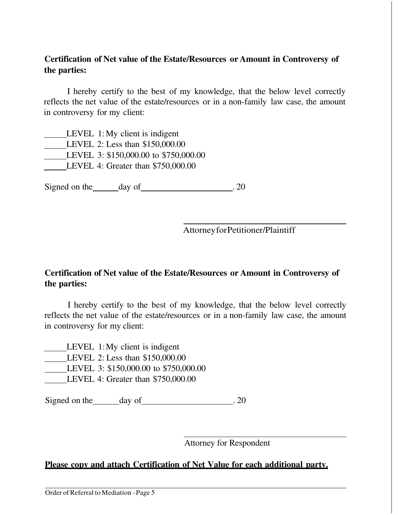# **Certification of Net value of the Estate/Resources or Amount in Controversy of the parties:**

I hereby certify to the best of my knowledge, that the below level correctly reflects the net value of the estate/resources or in a non-family law case, the amount in controversy for my client:

| LEVEL $1:My$ client is indigent       |
|---------------------------------------|
| LEVEL 2: Less than \$150,000.00       |
| LEVEL 3: \$150,000.00 to \$750,000.00 |
| LEVEL 4: Greater than \$750,000.00    |

Signed on the day of 20

Attorney for Petitioner/Plaintiff

# **Certification of Net value of the Estate/Resources or Amount in Controversy of the parties:**

I hereby certify to the best of my knowledge, that the below level correctly reflects the net value of the estate/resources or in a non-family law case, the amount in controversy for my client:

 LEVEL 1:My client is indigent LEVEL 2: Less than \$150,000.00 LEVEL 3: \$150,000.00 to \$750,000.00 LEVEL 4: Greater than \$750,000.00

Signed on the day of 20

Attorney for Respondent

### **Please copy and attach Certification of Net Value for each additional party.**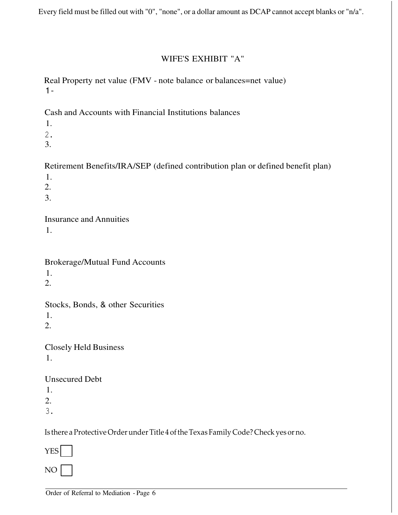Every field must be filled out with "0", "none", or a dollar amount as DCAP cannot accept blanks or "n/a".

# WIFE'S EXHIBIT "A"

Real Property net value (FMV - note balance or balances=net value)  $1 -$ 

Cash and Accounts with Financial Institutions balances

- 1.
- 2.
- 3.

Retirement Benefits/IRA/SEP (defined contribution plan or defined benefit plan)

1.

2.

3.

Insurance and Annuities

1.

Brokerage/Mutual Fund Accounts

1.

2.

Stocks, Bonds, & other Securities

1.

2.

Closely Held Business 1.

Unsecured Debt

1.

2.

3.

Is there a Protective Order under Title 4 of the Texas Family Code? Check yes or no.

YES

NO